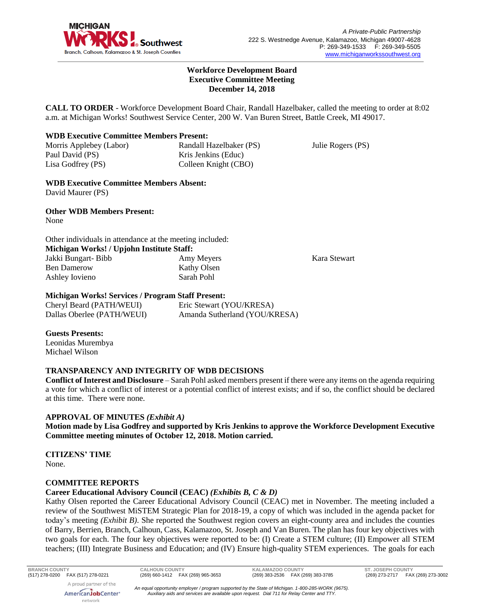

#### **Workforce Development Board Executive Committee Meeting December 14, 2018**

**CALL TO ORDER** - Workforce Development Board Chair, Randall Hazelbaker, called the meeting to order at 8:02 a.m. at Michigan Works! Southwest Service Center, 200 W. Van Buren Street, Battle Creek, MI 49017.

# **WDB Executive Committee Members Present:**

Morris Applebey (Labor) Paul David (PS) Lisa Godfrey (PS)

Randall Hazelbaker (PS) Kris Jenkins (Educ) Colleen Knight (CBO)

Julie Rogers (PS)

**WDB Executive Committee Members Absent:** David Maurer (PS)

**Other WDB Members Present:** None

Other individuals in attendance at the meeting included: **Michigan Works! / Upjohn Institute Staff:** Jakki Bungart- Bibb Ben Damerow Ashley Iovieno Amy Meyers Kathy Olsen Sarah Pohl

Kara Stewart

# **Michigan Works! Services / Program Staff Present:**

Cheryl Beard (PATH/WEUI) Dallas Oberlee (PATH/WEUI) Eric Stewart (YOU/KRESA) Amanda Sutherland (YOU/KRESA)

**Guests Presents:**

Leonidas Murembya Michael Wilson

# **TRANSPARENCY AND INTEGRITY OF WDB DECISIONS**

**Conflict of Interest and Disclosure** – Sarah Pohl asked members present if there were any items on the agenda requiring a vote for which a conflict of interest or a potential conflict of interest exists; and if so, the conflict should be declared at this time. There were none.

# **APPROVAL OF MINUTES** *(Exhibit A)*

**Motion made by Lisa Godfrey and supported by Kris Jenkins to approve the Workforce Development Executive Committee meeting minutes of October 12, 2018. Motion carried.** 

**CITIZENS' TIME** None.

# **COMMITTEE REPORTS**

# **Career Educational Advisory Council (CEAC)** *(Exhibits B, C & D)*

Kathy Olsen reported the Career Educational Advisory Council (CEAC) met in November. The meeting included a review of the Southwest MiSTEM Strategic Plan for 2018-19, a copy of which was included in the agenda packet for today's meeting *(Exhibit B)*. She reported the Southwest region covers an eight-county area and includes the counties of Barry, Berrien, Branch, Calhoun, Cass, Kalamazoo, St. Joseph and Van Buren. The plan has four key objectives with two goals for each. The four key objectives were reported to be: (I) Create a STEM culture; (II) Empower all STEM teachers; (III) Integrate Business and Education; and (IV) Ensure high-quality STEM experiences. The goals for each

A proud partner of the

**BRANCH COUNTY CALHOUN COUNTY KALAMAZOO COUNTY ST. JOSEPH COUNTY**

AmericanJobCenter\* network

*An equal opportunity employer / program supported by the State of Michigan. 1-800-285-WORK (9675). Auxiliary aids and services are available upon request. Dial 711 for Relay Center and TTY.*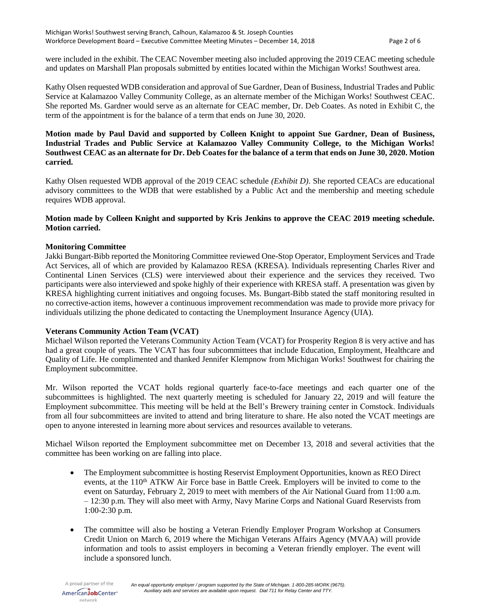were included in the exhibit. The CEAC November meeting also included approving the 2019 CEAC meeting schedule and updates on Marshall Plan proposals submitted by entities located within the Michigan Works! Southwest area.

Kathy Olsen requested WDB consideration and approval of Sue Gardner, Dean of Business, Industrial Trades and Public Service at Kalamazoo Valley Community College, as an alternate member of the Michigan Works! Southwest CEAC. She reported Ms. Gardner would serve as an alternate for CEAC member, Dr. Deb Coates. As noted in Exhibit C, the term of the appointment is for the balance of a term that ends on June 30, 2020.

### **Motion made by Paul David and supported by Colleen Knight to appoint Sue Gardner, Dean of Business, Industrial Trades and Public Service at Kalamazoo Valley Community College, to the Michigan Works! Southwest CEAC as an alternate for Dr. Deb Coates for the balance of a term that ends on June 30, 2020. Motion carried.**

Kathy Olsen requested WDB approval of the 2019 CEAC schedule *(Exhibit D)*. She reported CEACs are educational advisory committees to the WDB that were established by a Public Act and the membership and meeting schedule requires WDB approval.

### **Motion made by Colleen Knight and supported by Kris Jenkins to approve the CEAC 2019 meeting schedule. Motion carried.**

### **Monitoring Committee**

Jakki Bungart-Bibb reported the Monitoring Committee reviewed One-Stop Operator, Employment Services and Trade Act Services, all of which are provided by Kalamazoo RESA (KRESA). Individuals representing Charles River and Continental Linen Services (CLS) were interviewed about their experience and the services they received. Two participants were also interviewed and spoke highly of their experience with KRESA staff. A presentation was given by KRESA highlighting current initiatives and ongoing focuses. Ms. Bungart-Bibb stated the staff monitoring resulted in no corrective-action items, however a continuous improvement recommendation was made to provide more privacy for individuals utilizing the phone dedicated to contacting the Unemployment Insurance Agency (UIA).

#### **Veterans Community Action Team (VCAT)**

Michael Wilson reported the Veterans Community Action Team (VCAT) for Prosperity Region 8 is very active and has had a great couple of years. The VCAT has four subcommittees that include Education, Employment, Healthcare and Quality of Life. He complimented and thanked Jennifer Klempnow from Michigan Works! Southwest for chairing the Employment subcommittee.

Mr. Wilson reported the VCAT holds regional quarterly face-to-face meetings and each quarter one of the subcommittees is highlighted. The next quarterly meeting is scheduled for January 22, 2019 and will feature the Employment subcommittee. This meeting will be held at the Bell's Brewery training center in Comstock. Individuals from all four subcommittees are invited to attend and bring literature to share. He also noted the VCAT meetings are open to anyone interested in learning more about services and resources available to veterans.

Michael Wilson reported the Employment subcommittee met on December 13, 2018 and several activities that the committee has been working on are falling into place.

- The Employment subcommittee is hosting Reservist Employment Opportunities, known as REO Direct events, at the 110<sup>th</sup> ATKW Air Force base in Battle Creek. Employers will be invited to come to the event on Saturday, February 2, 2019 to meet with members of the Air National Guard from 11:00 a.m. – 12:30 p.m. They will also meet with Army, Navy Marine Corps and National Guard Reservists from 1:00-2:30 p.m.
- The committee will also be hosting a Veteran Friendly Employer Program Workshop at Consumers Credit Union on March 6, 2019 where the Michigan Veterans Affairs Agency (MVAA) will provide information and tools to assist employers in becoming a Veteran friendly employer. The event will include a sponsored lunch.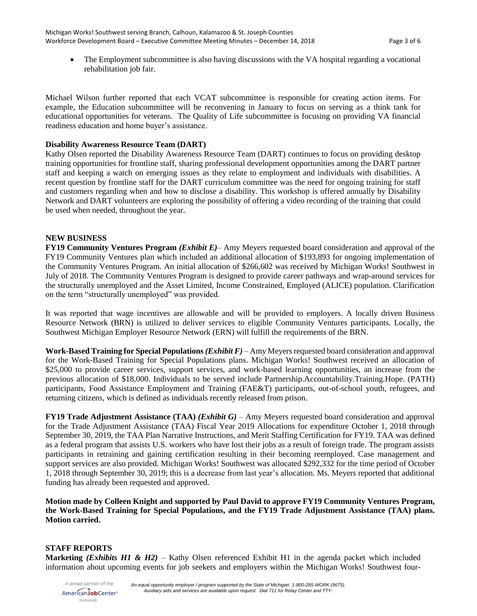• The Employment subcommittee is also having discussions with the VA hospital regarding a vocational rehabilitation job fair.

Michael Wilson further reported that each VCAT subcommittee is responsible for creating action items. For example, the Education subcommittee will be reconvening in January to focus on serving as a think tank for educational opportunities for veterans. The Quality of Life subcommittee is focusing on providing VA financial readiness education and home buyer's assistance.

### **Disability Awareness Resource Team (DART)**

Kathy Olsen reported the Disability Awareness Resource Team (DART) continues to focus on providing desktop training opportunities for frontline staff, sharing professional development opportunities among the DART partner staff and keeping a watch on emerging issues as they relate to employment and individuals with disabilities. A recent question by frontline staff for the DART curriculum committee was the need for ongoing training for staff and customers regarding when and how to disclose a disability. This workshop is offered annually by Disability Network and DART volunteers are exploring the possibility of offering a video recording of the training that could be used when needed, throughout the year.

### **NEW BUSINESS**

**FY19 Community Ventures Program** *(Exhibit E)*– Amy Meyers requested board consideration and approval of the FY19 Community Ventures plan which included an additional allocation of \$193,893 for ongoing implementation of the Community Ventures Program. An initial allocation of \$266,602 was received by Michigan Works! Southwest in July of 2018. The Community Ventures Program is designed to provide career pathways and wrap-around services for the structurally unemployed and the Asset Limited, Income Constrained, Employed (ALICE) population. Clarification on the term "structurally unemployed" was provided.

It was reported that wage incentives are allowable and will be provided to employers. A locally driven Business Resource Network (BRN) is utilized to deliver services to eligible Community Ventures participants. Locally, the Southwest Michigan Employer Resource Network (ERN) will fulfill the requirements of the BRN.

**Work-Based Training for Special Populations** *(Exhibit F)* – Amy Meyers requested board consideration and approval for the Work-Based Training for Special Populations plans. Michigan Works! Southwest received an allocation of \$25,000 to provide career services, support services, and work-based learning opportunities, an increase from the previous allocation of \$18,000. Individuals to be served include Partnership.Accountability.Training.Hope. (PATH) participants, Food Assistance Employment and Training (FAE&T) participants, out-of-school youth, refugees, and returning citizens, which is defined as individuals recently released from prison.

**FY19 Trade Adjustment Assistance (TAA)** *(Exhibit G)* – Amy Meyers requested board consideration and approval for the Trade Adjustment Assistance (TAA) Fiscal Year 2019 Allocations for expenditure October 1, 2018 through September 30, 2019, the TAA Plan Narrative Instructions, and Merit Staffing Certification for FY19. TAA was defined as a federal program that assists U.S. workers who have lost their jobs as a result of foreign trade. The program assists participants in retraining and gaining certification resulting in their becoming reemployed. Case management and support services are also provided. Michigan Works! Southwest was allocated \$292,332 for the time period of October 1, 2018 through September 30, 2019; this is a decrease from last year's allocation. Ms. Meyers reported that additional funding has already been requested and approved.

**Motion made by Colleen Knight and supported by Paul David to approve FY19 Community Ventures Program, the Work-Based Training for Special Populations, and the FY19 Trade Adjustment Assistance (TAA) plans. Motion carried.**

# **STAFF REPORTS**

**Marketing** *(Exhibits H1 & H2)* – Kathy Olsen referenced Exhibit H1 in the agenda packet which included information about upcoming events for job seekers and employers within the Michigan Works! Southwest four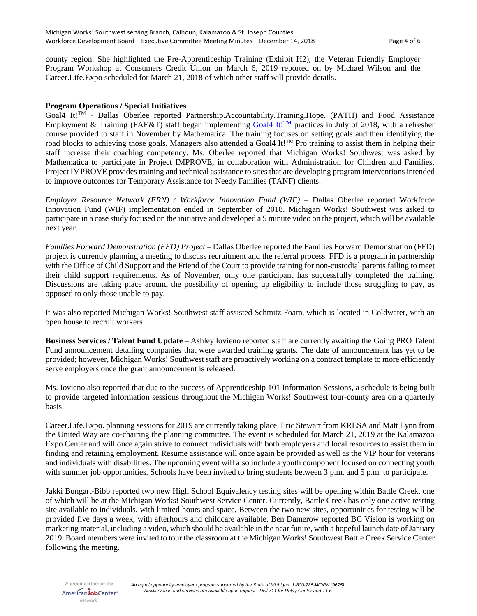county region. She highlighted the Pre-Apprenticeship Training (Exhibit H2), the Veteran Friendly Employer Program Workshop at Consumers Credit Union on March 6, 2019 reported on by Michael Wilson and the Career.Life.Expo scheduled for March 21, 2018 of which other staff will provide details.

#### **Program Operations / Special Initiatives**

Goal4 It!TM - Dallas Oberlee reported Partnership.Accountability.Training.Hope. (PATH) and Food Assistance Employment & Training (FAE&T) staff began implementing [Goal4 It!](https://www.mathematica-mpr.com/video/goal4-it)<sup>TM</sup> practices in July of 2018, with a refresher course provided to staff in November by Mathematica. The training focuses on setting goals and then identifying the road blocks to achieving those goals. Managers also attended a Goal4 It!<sup>TM</sup> Pro training to assist them in helping their staff increase their coaching competency. Ms. Oberlee reported that Michigan Works! Southwest was asked by Mathematica to participate in Project IMPROVE, in collaboration with Administration for Children and Families. Project IMPROVE provides training and technical assistance to sites that are developing program interventions intended to improve outcomes for Temporary Assistance for Needy Families (TANF) clients.

*Employer Resource Network (ERN) / Workforce Innovation Fund (WIF) –* Dallas Oberlee reported Workforce Innovation Fund (WIF) implementation ended in September of 2018. Michigan Works! Southwest was asked to participate in a case study focused on the initiative and developed a 5 minute video on the project, which will be available next year.

*Families Forward Demonstration (FFD) Project –* Dallas Oberlee reported the Families Forward Demonstration (FFD) project is currently planning a meeting to discuss recruitment and the referral process. FFD is a program in partnership with the Office of Child Support and the Friend of the Court to provide training for non-custodial parents failing to meet their child support requirements. As of November, only one participant has successfully completed the training. Discussions are taking place around the possibility of opening up eligibility to include those struggling to pay, as opposed to only those unable to pay.

It was also reported Michigan Works! Southwest staff assisted Schmitz Foam, which is located in Coldwater, with an open house to recruit workers.

**Business Services / Talent Fund Update** – Ashley Iovieno reported staff are currently awaiting the Going PRO Talent Fund announcement detailing companies that were awarded training grants. The date of announcement has yet to be provided; however, Michigan Works! Southwest staff are proactively working on a contract template to more efficiently serve employers once the grant announcement is released.

Ms. Iovieno also reported that due to the success of Apprenticeship 101 Information Sessions, a schedule is being built to provide targeted information sessions throughout the Michigan Works! Southwest four-county area on a quarterly basis.

Career.Life.Expo. planning sessions for 2019 are currently taking place. Eric Stewart from KRESA and Matt Lynn from the United Way are co-chairing the planning committee. The event is scheduled for March 21, 2019 at the Kalamazoo Expo Center and will once again strive to connect individuals with both employers and local resources to assist them in finding and retaining employment. Resume assistance will once again be provided as well as the VIP hour for veterans and individuals with disabilities. The upcoming event will also include a youth component focused on connecting youth with summer job opportunities. Schools have been invited to bring students between 3 p.m. and 5 p.m. to participate.

Jakki Bungart-Bibb reported two new High School Equivalency testing sites will be opening within Battle Creek, one of which will be at the Michigan Works! Southwest Service Center. Currently, Battle Creek has only one active testing site available to individuals, with limited hours and space. Between the two new sites, opportunities for testing will be provided five days a week, with afterhours and childcare available. Ben Damerow reported BC Vision is working on marketing material, including a video, which should be available in the near future, with a hopeful launch date of January 2019. Board members were invited to tour the classroom at the Michigan Works! Southwest Battle Creek Service Center following the meeting.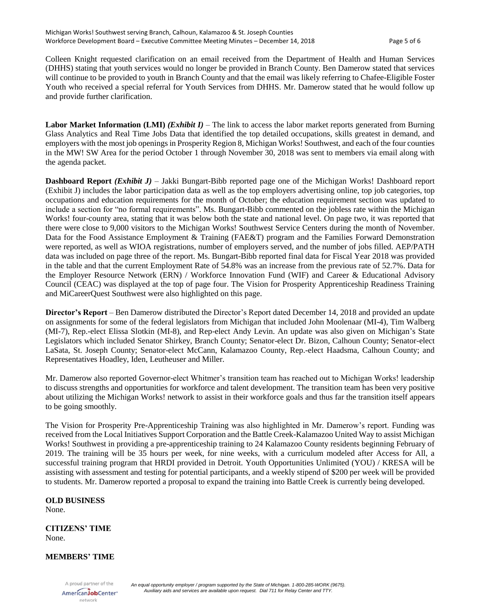Colleen Knight requested clarification on an email received from the Department of Health and Human Services (DHHS) stating that youth services would no longer be provided in Branch County. Ben Damerow stated that services will continue to be provided to youth in Branch County and that the email was likely referring to Chafee-Eligible Foster Youth who received a special referral for Youth Services from DHHS. Mr. Damerow stated that he would follow up and provide further clarification.

**Labor Market Information (LMI)** *(Exhibit I)* – The link to access the labor market reports generated from Burning Glass Analytics and Real Time Jobs Data that identified the top detailed occupations, skills greatest in demand, and employers with the most job openings in Prosperity Region 8, Michigan Works! Southwest, and each of the four counties in the MW! SW Area for the period October 1 through November 30, 2018 was sent to members via email along with the agenda packet.

**Dashboard Report** *(Exhibit J)* – Jakki Bungart-Bibb reported page one of the Michigan Works! Dashboard report (Exhibit J) includes the labor participation data as well as the top employers advertising online, top job categories, top occupations and education requirements for the month of October; the education requirement section was updated to include a section for "no formal requirements". Ms. Bungart-Bibb commented on the jobless rate within the Michigan Works! four-county area, stating that it was below both the state and national level. On page two, it was reported that there were close to 9,000 visitors to the Michigan Works! Southwest Service Centers during the month of November. Data for the Food Assistance Employment & Training (FAE&T) program and the Families Forward Demonstration were reported, as well as WIOA registrations, number of employers served, and the number of jobs filled. AEP/PATH data was included on page three of the report. Ms. Bungart-Bibb reported final data for Fiscal Year 2018 was provided in the table and that the current Employment Rate of 54.8% was an increase from the previous rate of 52.7%. Data for the Employer Resource Network (ERN) / Workforce Innovation Fund (WIF) and Career & Educational Advisory Council (CEAC) was displayed at the top of page four. The Vision for Prosperity Apprenticeship Readiness Training and MiCareerQuest Southwest were also highlighted on this page.

**Director's Report** – Ben Damerow distributed the Director's Report dated December 14, 2018 and provided an update on assignments for some of the federal legislators from Michigan that included John Moolenaar (MI-4), Tim Walberg (MI-7), Rep.-elect Elissa Slotkin (MI-8), and Rep-elect Andy Levin. An update was also given on Michigan's State Legislators which included Senator Shirkey, Branch County; Senator-elect Dr. Bizon, Calhoun County; Senator-elect LaSata, St. Joseph County; Senator-elect McCann, Kalamazoo County, Rep.-elect Haadsma, Calhoun County; and Representatives Hoadley, Iden, Leutheuser and Miller.

Mr. Damerow also reported Governor-elect Whitmer's transition team has reached out to Michigan Works! leadership to discuss strengths and opportunities for workforce and talent development. The transition team has been very positive about utilizing the Michigan Works! network to assist in their workforce goals and thus far the transition itself appears to be going smoothly.

The Vision for Prosperity Pre-Apprenticeship Training was also highlighted in Mr. Damerow's report. Funding was received from the Local Initiatives Support Corporation and the Battle Creek-Kalamazoo United Way to assist Michigan Works! Southwest in providing a pre-apprenticeship training to 24 Kalamazoo County residents beginning February of 2019. The training will be 35 hours per week, for nine weeks, with a curriculum modeled after Access for All, a successful training program that HRDI provided in Detroit. Youth Opportunities Unlimited (YOU) / KRESA will be assisting with assessment and testing for potential participants, and a weekly stipend of \$200 per week will be provided to students. Mr. Damerow reported a proposal to expand the training into Battle Creek is currently being developed.

# **OLD BUSINESS**

None.

#### **CITIZENS' TIME** None.

# **MEMBERS' TIME**

A proud partner of the AmericanJobCenter\* network